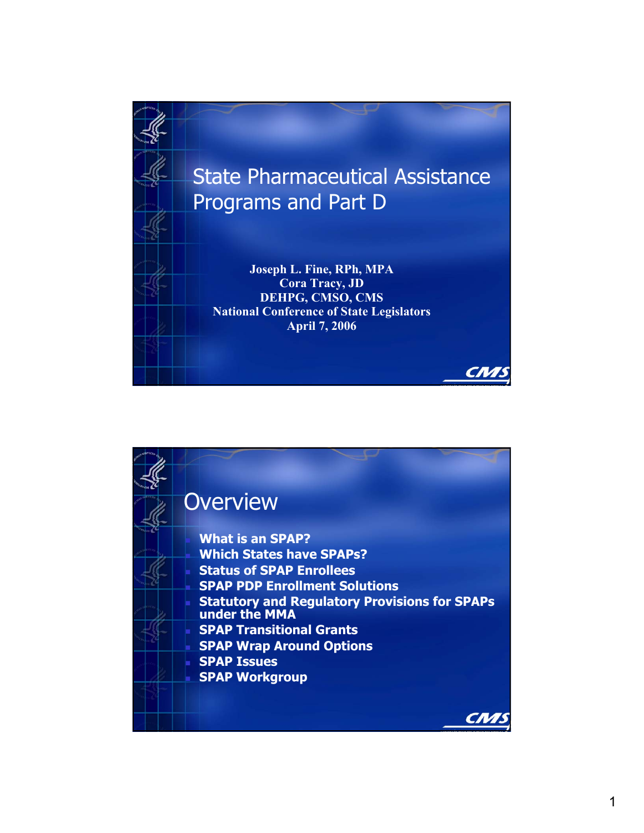

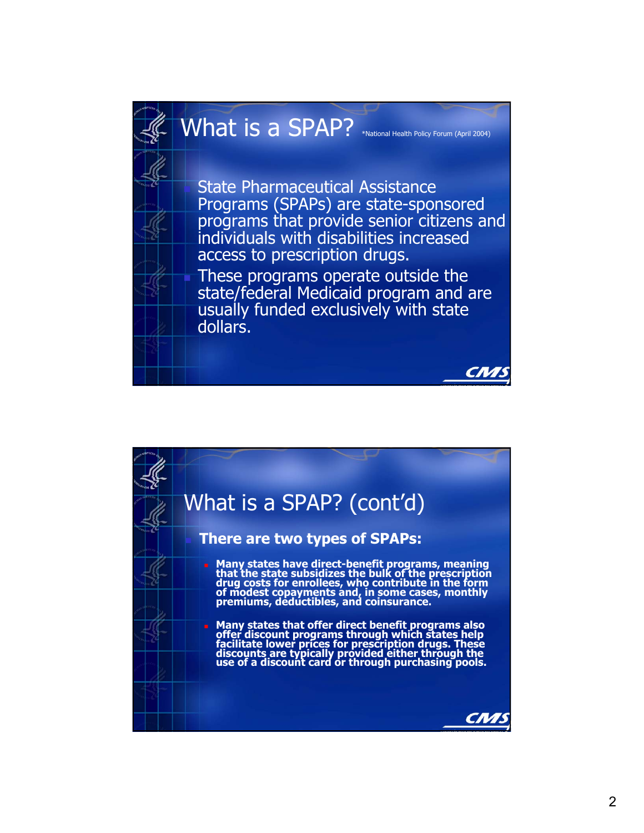

## What is a SPAP? \*National Health Policy Forum (April 2004)

 State Pharmaceutical Assistance Programs (SPAPs) are state-sponsored programs that provide senior citizens and individuals with disabilities increased access to prescription drugs. These programs operate outside the state/federal Medicaid program and are usually funded exclusively with state dollars.

CN<sub>7</sub>

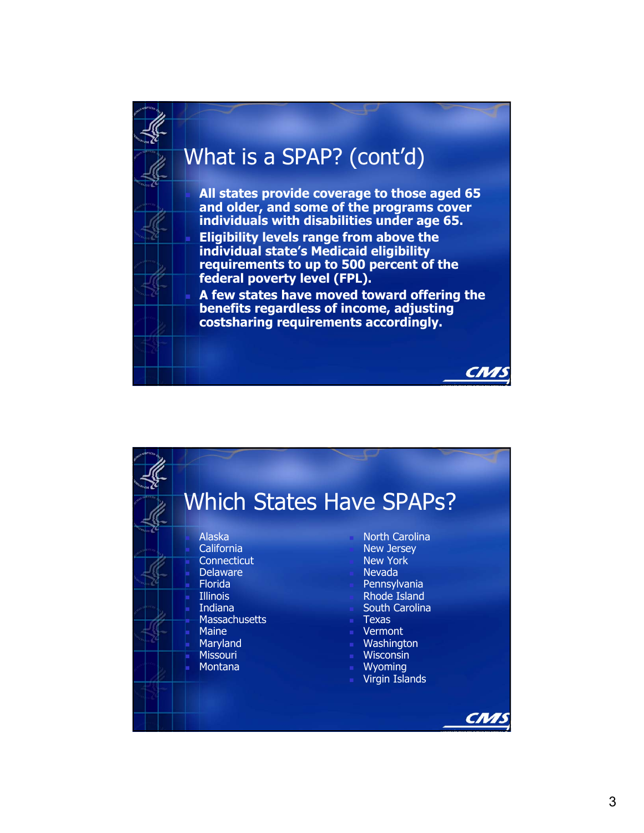

|                                                                                                                                                                                                        | <b>Which States Have SPAPs?</b>                                                                                                                                                                                                                |
|--------------------------------------------------------------------------------------------------------------------------------------------------------------------------------------------------------|------------------------------------------------------------------------------------------------------------------------------------------------------------------------------------------------------------------------------------------------|
| <b>Alaska</b><br>California<br>Connecticut<br><b>Delaware</b><br><b>Florida</b><br><b>Illinois</b><br><b>Indiana</b><br><b>Massachusetts</b><br><b>Maine</b><br>Maryland<br><b>Missouri</b><br>Montana | <b>North Carolina</b><br><b>New Jersey</b><br><b>New York</b><br><b>Nevada</b><br>Pennsylvania<br><b>Rhode Island</b><br>South Carolina<br><b>Texas</b><br>■ Vermont<br>■ Washington<br><b>Wisconsin</b><br>■ Wyoming<br><b>Virgin Islands</b> |
|                                                                                                                                                                                                        |                                                                                                                                                                                                                                                |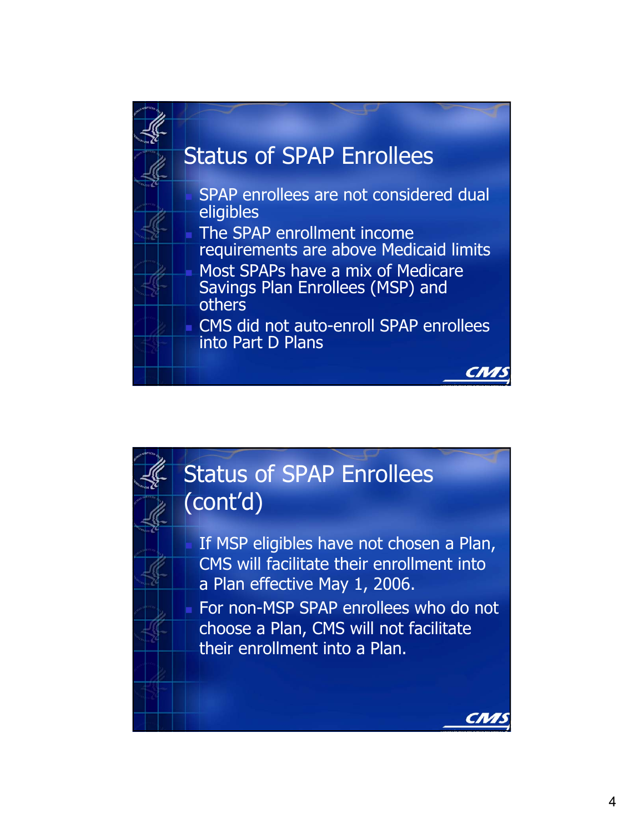



 If MSP eligibles have not chosen a Plan, CMS will facilitate their enrollment into a Plan effective May 1, 2006. For non-MSP SPAP enrollees who do not choose a Plan, CMS will not facilitate their enrollment into a Plan.

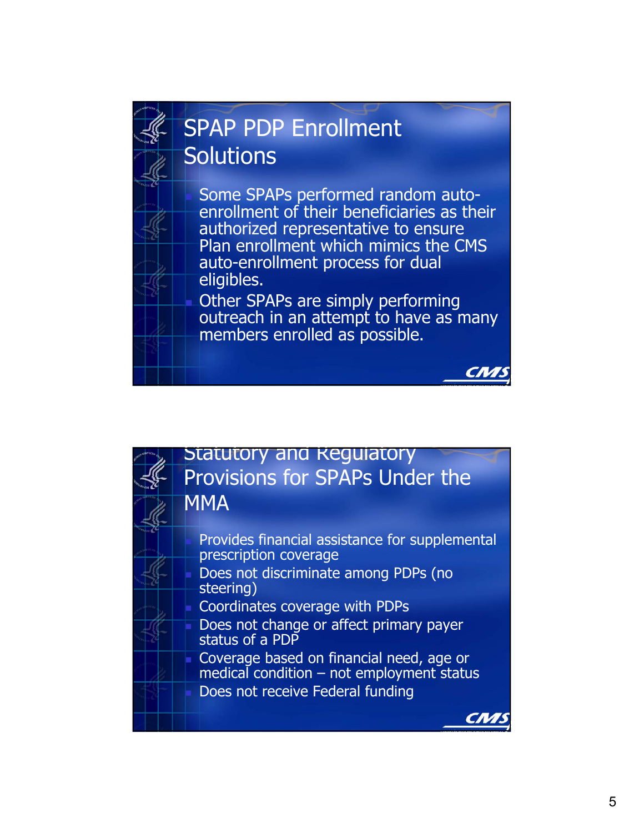

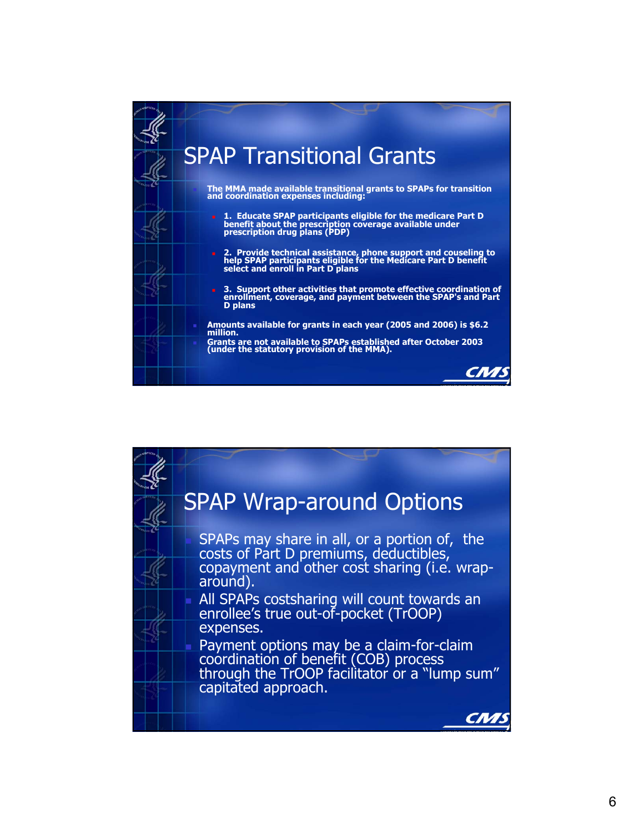

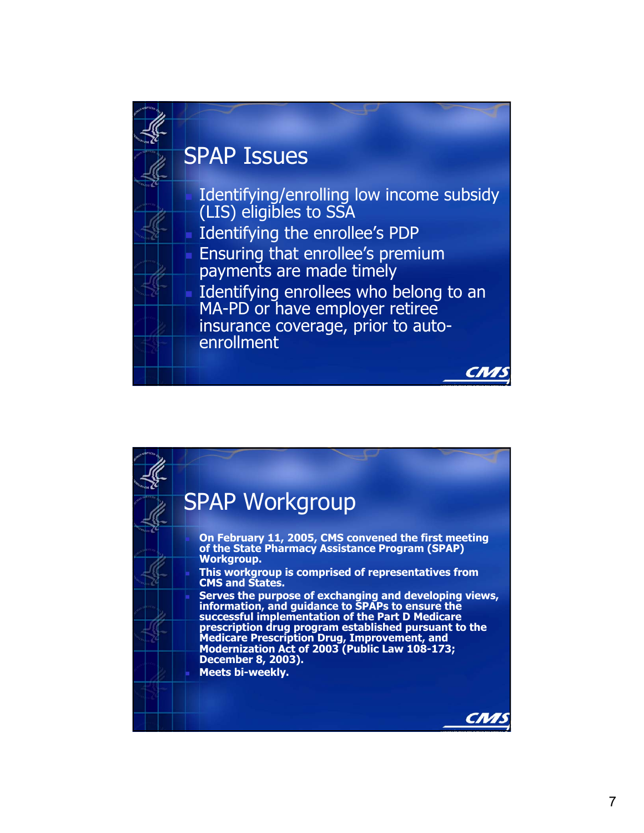